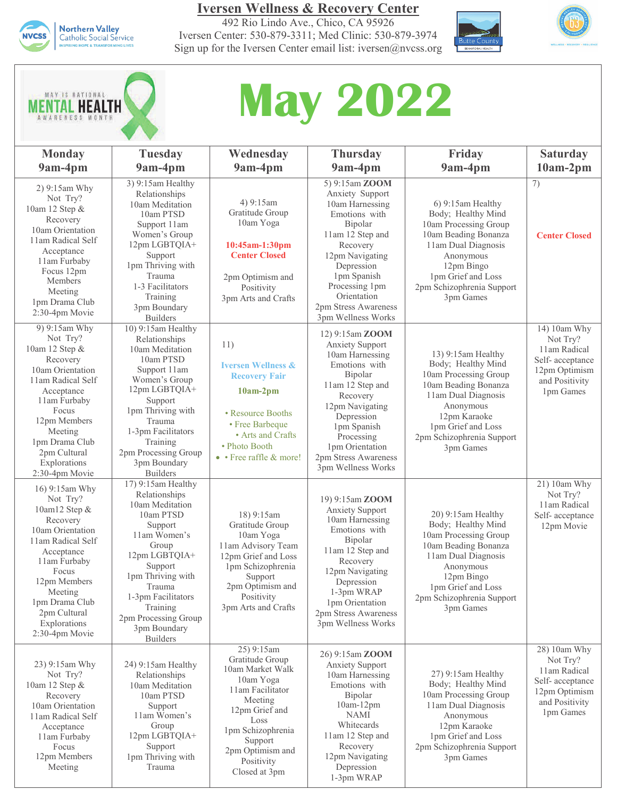

**Iversen Wellness & Recovery Center**

492 Rio Lindo Ave., Chico, CA 95926 Iversen Center: 530-879-3311; Med Clinic: 530-879-3974 Sign up for the Iversen Center email list: iversen@nvcss.org









| <b>Monday</b>                                                                                                                                                                                                                          | <b>Tuesday</b>                                                                                                                                                                                                                                                  | Wednesday                                                                                                                                                                                                  | <b>Thursday</b>                                                                                                                                                                                                                                         | Friday                                                                                                                                                                                                        | <b>Saturday</b>                                                                                             |
|----------------------------------------------------------------------------------------------------------------------------------------------------------------------------------------------------------------------------------------|-----------------------------------------------------------------------------------------------------------------------------------------------------------------------------------------------------------------------------------------------------------------|------------------------------------------------------------------------------------------------------------------------------------------------------------------------------------------------------------|---------------------------------------------------------------------------------------------------------------------------------------------------------------------------------------------------------------------------------------------------------|---------------------------------------------------------------------------------------------------------------------------------------------------------------------------------------------------------------|-------------------------------------------------------------------------------------------------------------|
| 9am-4pm                                                                                                                                                                                                                                | 9am-4pm                                                                                                                                                                                                                                                         | 9am-4pm                                                                                                                                                                                                    | 9am-4pm                                                                                                                                                                                                                                                 | 9am-4pm                                                                                                                                                                                                       | $10am-2pm$                                                                                                  |
| 2) 9:15am Why<br>Not Try?<br>10am 12 Step &<br>Recovery<br>10am Orientation<br>11am Radical Self<br>Acceptance<br>11am Furbaby<br>Focus 12pm<br>Members<br>Meeting<br>1pm Drama Club<br>2:30-4pm Movie                                 | 3) 9:15am Healthy<br>Relationships<br>10am Meditation<br>10am PTSD<br>Support 11am<br>Women's Group<br>12pm LGBTQIA+<br>Support<br>1pm Thriving with<br>Trauma<br>1-3 Facilitators<br>Training<br>3pm Boundary<br><b>Builders</b>                               | 4) 9:15am<br>Gratitude Group<br>10am Yoga<br>$10:45$ am-1:30pm<br><b>Center Closed</b><br>2pm Optimism and<br>Positivity<br>3pm Arts and Crafts                                                            | 5) 9:15am ZOOM<br>Anxiety Support<br>10am Harnessing<br>Emotions with<br>Bipolar<br>11am 12 Step and<br>Recovery<br>12pm Navigating<br>Depression<br>1pm Spanish<br>Processing 1pm<br>Orientation<br>2pm Stress Awareness<br>3pm Wellness Works         | 6) 9:15am Healthy<br>Body; Healthy Mind<br>10am Processing Group<br>10am Beading Bonanza<br>11am Dual Diagnosis<br>Anonymous<br>12pm Bingo<br>1pm Grief and Loss<br>2pm Schizophrenia Support<br>3pm Games    | 7)<br><b>Center Closed</b>                                                                                  |
| 9) 9:15am Why<br>Not Try?<br>10am 12 Step &<br>Recovery<br>10am Orientation<br>11am Radical Self<br>Acceptance<br>11am Furbaby<br>Focus<br>12pm Members<br>Meeting<br>1pm Drama Club<br>2pm Cultural<br>Explorations<br>2:30-4pm Movie | 10) 9:15am Healthy<br>Relationships<br>10am Meditation<br>10am PTSD<br>Support 11am<br>Women's Group<br>12pm LGBTQIA+<br>Support<br>1pm Thriving with<br>Trauma<br>1-3pm Facilitators<br>Training<br>2pm Processing Group<br>3pm Boundary<br><b>Builders</b>    | 11)<br><b>Iversen Wellness &amp;</b><br><b>Recovery Fair</b><br>$10am-2pm$<br>• Resource Booths<br>• Free Barbeque<br>• Arts and Crafts<br>• Photo Booth<br>• Free raffle & more!                          | 12) 9:15am ZOOM<br><b>Anxiety Support</b><br>10am Harnessing<br>Emotions with<br>Bipolar<br>11am 12 Step and<br>Recovery<br>12pm Navigating<br>Depression<br>1pm Spanish<br>Processing<br>1pm Orientation<br>2pm Stress Awareness<br>3pm Wellness Works | 13) 9:15am Healthy<br>Body; Healthy Mind<br>10am Processing Group<br>10am Beading Bonanza<br>11am Dual Diagnosis<br>Anonymous<br>12pm Karaoke<br>1pm Grief and Loss<br>2pm Schizophrenia Support<br>3pm Games | 14) 10am Why<br>Not Try?<br>11am Radical<br>Self-acceptance<br>12pm Optimism<br>and Positivity<br>1pm Games |
| 16) 9:15am Why<br>Not Try?<br>10am12 Step &<br>Recovery<br>10am Orientation<br>11am Radical Self<br>Acceptance<br>11am Furbaby<br>Focus<br>12pm Members<br>Meeting<br>1pm Drama Club<br>2pm Cultural<br>Explorations<br>2:30-4pm Movie | 17) 9:15am Healthy<br>Relationships<br>10am Meditation<br>10am PTSD<br>Support<br>11am Women's<br>Group<br>12pm LGBTQIA+<br>Support<br>1pm Thriving with<br>Trauma<br>1-3pm Facilitators<br>Training<br>2pm Processing Group<br>3pm Boundary<br><b>Builders</b> | 18) 9:15am<br>Gratitude Group<br>10am Yoga<br>11am Advisory Team<br>12pm Grief and Loss<br>1pm Schizophrenia<br>Support<br>2pm Optimism and<br>Positivity<br>3pm Arts and Crafts                           | 19) 9:15am <b>ZOOM</b><br><b>Anxiety Support</b><br>10am Harnessing<br>Emotions with<br>Bipolar<br>11am 12 Step and<br>Recovery<br>12pm Navigating<br>Depression<br>1-3pm WRAP<br>1pm Orientation<br>2pm Stress Awareness<br>3pm Wellness Works         | 20) 9:15am Healthy<br>Body; Healthy Mind<br>10am Processing Group<br>10am Beading Bonanza<br>11am Dual Diagnosis<br>Anonymous<br>12pm Bingo<br>1pm Grief and Loss<br>2pm Schizophrenia Support<br>3pm Games   | 21) 10am Why<br>Not Try?<br>11am Radical<br>Self-acceptance<br>12pm Movie                                   |
| 23) 9:15am Why<br>Not Try?<br>10am 12 Step &<br>Recovery<br>10am Orientation<br>11am Radical Self<br>Acceptance<br>11am Furbaby<br>Focus<br>12pm Members<br>Meeting                                                                    | 24) 9:15am Healthy<br>Relationships<br>10am Meditation<br>10am PTSD<br>Support<br>11am Women's<br>Group<br>12pm LGBTQIA+<br>Support<br>1pm Thriving with<br>Trauma                                                                                              | 25) 9:15am<br>Gratitude Group<br>10am Market Walk<br>10am Yoga<br>11am Facilitator<br>Meeting<br>12pm Grief and<br>Loss<br>1pm Schizophrenia<br>Support<br>2pm Optimism and<br>Positivity<br>Closed at 3pm | 26) 9:15am <b>ZOOM</b><br><b>Anxiety Support</b><br>10am Harnessing<br>Emotions with<br>Bipolar<br>$10am-12pm$<br><b>NAMI</b><br>Whitecards<br>11am 12 Step and<br>Recovery<br>12pm Navigating<br>Depression<br>1-3pm WRAP                              | 27) 9:15am Healthy<br>Body; Healthy Mind<br>10am Processing Group<br>11am Dual Diagnosis<br>Anonymous<br>12pm Karaoke<br>1pm Grief and Loss<br>2pm Schizophrenia Support<br>3pm Games                         | 28) 10am Why<br>Not Try?<br>11am Radical<br>Self-acceptance<br>12pm Optimism<br>and Positivity<br>1pm Games |